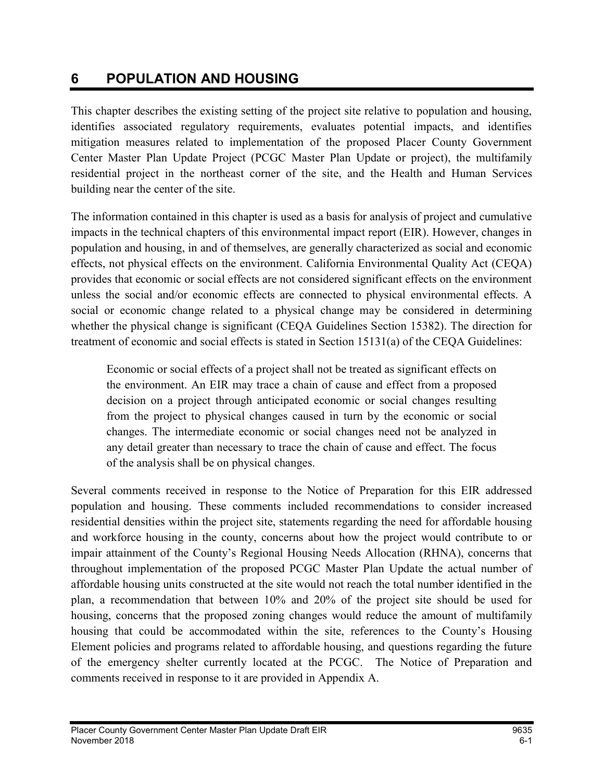# 6 POPULATION AND HOUSING

This chapter describes the existing setting of the project site relative to population and housing, identifies associated regulatory requirements, evaluates potential impacts, and identifies mitigation measures related to implementation of the proposed Placer County Government Center Master Plan Update Project (PCGC Master Plan Update or project), the multifamily residential project in the northeast corner of the site, and the Health and Human Services building near the center of the site.

The information contained in this chapter is used as a basis for analysis of project and cumulative impacts in the technical chapters of this environmental impact report (EIR). However, changes in population and housing, in and of themselves, are generally characterized as social and economic effects, not physical effects on the environment. California Environmental Quality Act (CEQA) provides that economic or social effects are not considered significant effects on the environment unless the social and/or economic effects are connected to physical environmental effects. A social or economic change related to a physical change may be considered in determining whether the physical change is significant (CEQA Guidelines Section 15382). The direction for treatment of economic and social effects is stated in Section 15131(a) of the CEQA Guidelines:

Economic or social effects of a project shall not be treated as significant effects on the environment. An EIR may trace a chain of cause and effect from a proposed decision on a project through anticipated economic or social changes resulting from the project to physical changes caused in turn by the economic or social changes. The intermediate economic or social changes need not be analyzed in any detail greater than necessary to trace the chain of cause and effect. The focus of the analysis shall be on physical changes.

Several comments received in response to the Notice of Preparation for this EIR addressed population and housing. These comments included recommendations to consider increased residential densities within the project site, statements regarding the need for affordable housing and workforce housing in the county, concerns about how the project would contribute to or impair attainment of the County's Regional Housing Needs Allocation (RHNA), concerns that throughout implementation of the proposed PCGC Master Plan Update the actual number of affordable housing units constructed at the site would not reach the total number identified in the plan, a recommendation that between 10% and 20% of the project site should be used for housing, concerns that the proposed zoning changes would reduce the amount of multifamily housing that could be accommodated within the site, references to the County's Housing Element policies and programs related to affordable housing, and questions regarding the future of the emergency shelter currently located at the PCGC. The Notice of Preparation and comments received in response to it are provided in Appendix A.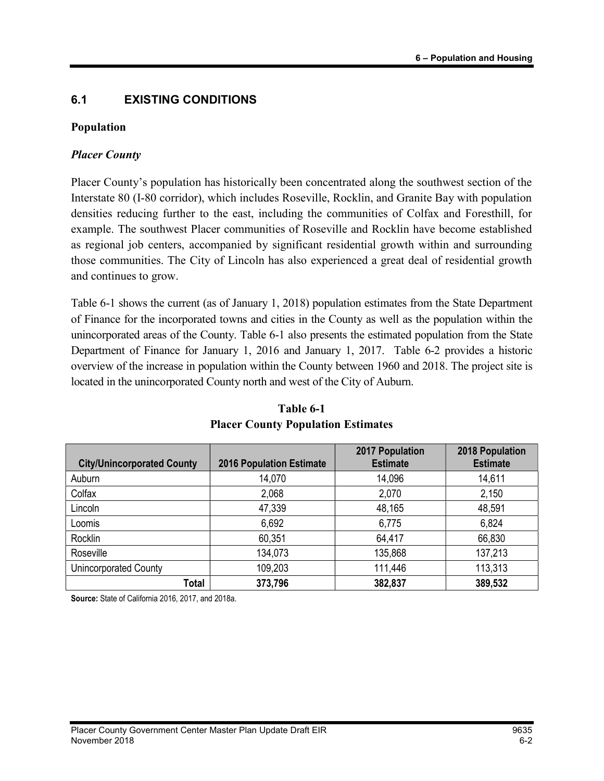### 6.1 EXISTING CONDITIONS

#### Population

#### Placer County

Placer County's population has historically been concentrated along the southwest section of the Interstate 80 (I-80 corridor), which includes Roseville, Rocklin, and Granite Bay with population densities reducing further to the east, including the communities of Colfax and Foresthill, for example. The southwest Placer communities of Roseville and Rocklin have become established as regional job centers, accompanied by significant residential growth within and surrounding those communities. The City of Lincoln has also experienced a great deal of residential growth and continues to grow.

Table 6-1 shows the current (as of January 1, 2018) population estimates from the State Department of Finance for the incorporated towns and cities in the County as well as the population within the unincorporated areas of the County. Table 6-1 also presents the estimated population from the State Department of Finance for January 1, 2016 and January 1, 2017. Table 6-2 provides a historic overview of the increase in population within the County between 1960 and 2018. The project site is located in the unincorporated County north and west of the City of Auburn.

| <b>City/Unincorporated County</b> | <b>2016 Population Estimate</b> | 2017 Population<br><b>Estimate</b> | 2018 Population<br><b>Estimate</b> |
|-----------------------------------|---------------------------------|------------------------------------|------------------------------------|
| Auburn                            | 14,070                          | 14,096                             | 14,611                             |
| Colfax                            | 2,068                           | 2,070                              | 2,150                              |
| Lincoln                           | 47,339                          | 48,165                             | 48,591                             |
| Loomis                            | 6,692                           | 6,775                              | 6,824                              |
| Rocklin                           | 60,351                          | 64,417                             | 66,830                             |
| Roseville                         | 134,073                         | 135,868                            | 137,213                            |
| Unincorporated County             | 109,203                         | 111,446                            | 113,313                            |
| <b>Total</b>                      | 373,796                         | 382,837                            | 389,532                            |

### Table 6-1 Placer County Population Estimates

Source: State of California 2016, 2017, and 2018a.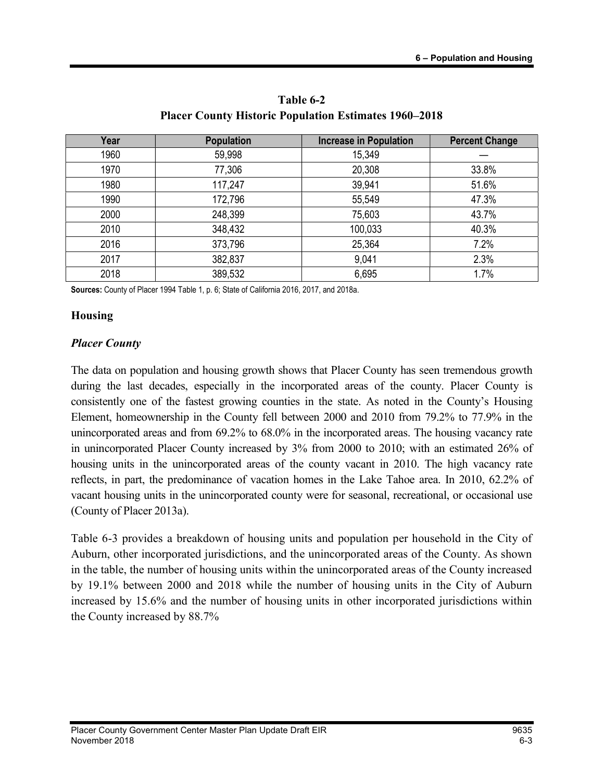| Year | <b>Population</b> | <b>Increase in Population</b> | <b>Percent Change</b> |
|------|-------------------|-------------------------------|-----------------------|
| 1960 | 59,998            | 15,349                        |                       |
| 1970 | 77,306            | 20,308                        | 33.8%                 |
| 1980 | 117,247           | 39,941                        | 51.6%                 |
| 1990 | 172,796           | 55,549                        | 47.3%                 |
| 2000 | 248,399           | 75,603                        | 43.7%                 |
| 2010 | 348,432           | 100,033                       | 40.3%                 |
| 2016 | 373,796           | 25,364                        | 7.2%                  |
| 2017 | 382,837           | 9,041                         | 2.3%                  |
| 2018 | 389,532           | 6,695                         | 1.7%                  |

Table 6-2 Placer County Historic Population Estimates 1960–2018

Sources: County of Placer 1994 Table 1, p. 6; State of California 2016, 2017, and 2018a.

#### Housing

#### Placer County

The data on population and housing growth shows that Placer County has seen tremendous growth during the last decades, especially in the incorporated areas of the county. Placer County is consistently one of the fastest growing counties in the state. As noted in the County's Housing Element, homeownership in the County fell between 2000 and 2010 from 79.2% to 77.9% in the unincorporated areas and from 69.2% to 68.0% in the incorporated areas. The housing vacancy rate in unincorporated Placer County increased by 3% from 2000 to 2010; with an estimated 26% of housing units in the unincorporated areas of the county vacant in 2010. The high vacancy rate reflects, in part, the predominance of vacation homes in the Lake Tahoe area. In 2010, 62.2% of vacant housing units in the unincorporated county were for seasonal, recreational, or occasional use (County of Placer 2013a).

Table 6-3 provides a breakdown of housing units and population per household in the City of Auburn, other incorporated jurisdictions, and the unincorporated areas of the County. As shown in the table, the number of housing units within the unincorporated areas of the County increased by 19.1% between 2000 and 2018 while the number of housing units in the City of Auburn increased by 15.6% and the number of housing units in other incorporated jurisdictions within the County increased by 88.7%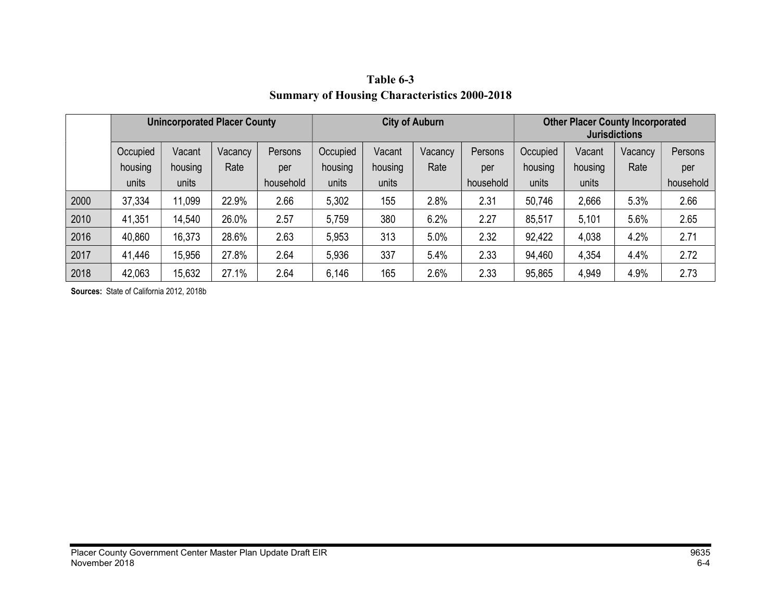|      | <b>Unincorporated Placer County</b> |         | <b>City of Auburn</b> |           |          | <b>Other Placer County Incorporated</b><br><b>Jurisdictions</b> |         |           |          |         |         |           |
|------|-------------------------------------|---------|-----------------------|-----------|----------|-----------------------------------------------------------------|---------|-----------|----------|---------|---------|-----------|
|      | Occupied                            | Vacant  | Vacancy               | Persons   | Occupied | Vacant                                                          | Vacancy | Persons   | Occupied | Vacant  | Vacancy | Persons   |
|      | housing                             | housing | Rate                  | per       | housing  | housing                                                         | Rate    | per       | housing  | housing | Rate    | per       |
|      | units                               | units   |                       | household | units    | units                                                           |         | household | units    | units   |         | household |
| 2000 | 37,334                              | 11,099  | 22.9%                 | 2.66      | 5,302    | 155                                                             | 2.8%    | 2.31      | 50,746   | 2,666   | 5.3%    | 2.66      |
| 2010 | 41,351                              | 14,540  | 26.0%                 | 2.57      | 5,759    | 380                                                             | 6.2%    | 2.27      | 85,517   | 5,101   | 5.6%    | 2.65      |
| 2016 | 40,860                              | 16,373  | 28.6%                 | 2.63      | 5,953    | 313                                                             | 5.0%    | 2.32      | 92,422   | 4,038   | 4.2%    | 2.71      |
| 2017 | 41,446                              | 15,956  | 27.8%                 | 2.64      | 5,936    | 337                                                             | 5.4%    | 2.33      | 94,460   | 4,354   | 4.4%    | 2.72      |
| 2018 | 42,063                              | 15,632  | 27.1%                 | 2.64      | 6,146    | 165                                                             | 2.6%    | 2.33      | 95,865   | 4,949   | 4.9%    | 2.73      |

Table 6-3 Summary of Housing Characteristics 2000-2018

Sources: State of California 2012, 2018b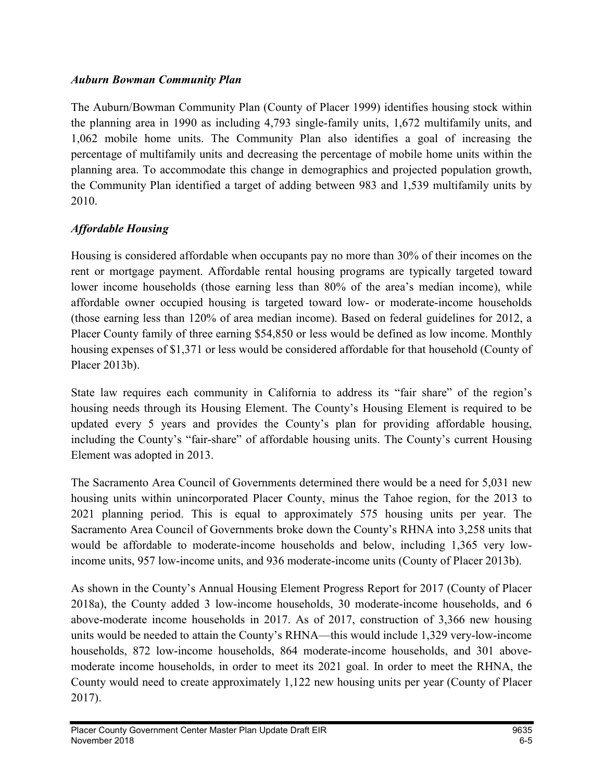#### Auburn Bowman Community Plan

The Auburn/Bowman Community Plan (County of Placer 1999) identifies housing stock within the planning area in 1990 as including 4,793 single-family units, 1,672 multifamily units, and 1,062 mobile home units. The Community Plan also identifies a goal of increasing the percentage of multifamily units and decreasing the percentage of mobile home units within the planning area. To accommodate this change in demographics and projected population growth, the Community Plan identified a target of adding between 983 and 1,539 multifamily units by 2010.

### Affordable Housing

Housing is considered affordable when occupants pay no more than 30% of their incomes on the rent or mortgage payment. Affordable rental housing programs are typically targeted toward lower income households (those earning less than 80% of the area's median income), while affordable owner occupied housing is targeted toward low- or moderate-income households (those earning less than 120% of area median income). Based on federal guidelines for 2012, a Placer County family of three earning \$54,850 or less would be defined as low income. Monthly housing expenses of \$1,371 or less would be considered affordable for that household (County of Placer 2013b).

State law requires each community in California to address its "fair share" of the region's housing needs through its Housing Element. The County's Housing Element is required to be updated every 5 years and provides the County's plan for providing affordable housing, including the County's "fair-share" of affordable housing units. The County's current Housing Element was adopted in 2013.

The Sacramento Area Council of Governments determined there would be a need for 5,031 new housing units within unincorporated Placer County, minus the Tahoe region, for the 2013 to 2021 planning period. This is equal to approximately 575 housing units per year. The Sacramento Area Council of Governments broke down the County's RHNA into 3,258 units that would be affordable to moderate-income households and below, including 1,365 very lowincome units, 957 low-income units, and 936 moderate-income units (County of Placer 2013b).

As shown in the County's Annual Housing Element Progress Report for 2017 (County of Placer 2018a), the County added 3 low-income households, 30 moderate-income households, and 6 above-moderate income households in 2017. As of 2017, construction of 3,366 new housing units would be needed to attain the County's RHNA—this would include 1,329 very-low-income households, 872 low-income households, 864 moderate-income households, and 301 abovemoderate income households, in order to meet its 2021 goal. In order to meet the RHNA, the County would need to create approximately 1,122 new housing units per year (County of Placer 2017).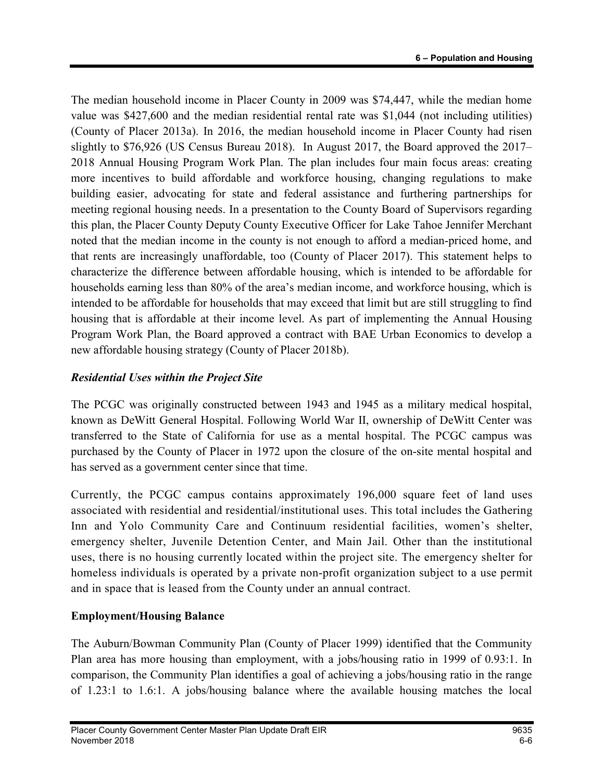The median household income in Placer County in 2009 was \$74,447, while the median home value was \$427,600 and the median residential rental rate was \$1,044 (not including utilities) (County of Placer 2013a). In 2016, the median household income in Placer County had risen slightly to \$76,926 (US Census Bureau 2018). In August 2017, the Board approved the 2017– 2018 Annual Housing Program Work Plan. The plan includes four main focus areas: creating more incentives to build affordable and workforce housing, changing regulations to make building easier, advocating for state and federal assistance and furthering partnerships for meeting regional housing needs. In a presentation to the County Board of Supervisors regarding this plan, the Placer County Deputy County Executive Officer for Lake Tahoe Jennifer Merchant noted that the median income in the county is not enough to afford a median-priced home, and that rents are increasingly unaffordable, too (County of Placer 2017). This statement helps to characterize the difference between affordable housing, which is intended to be affordable for households earning less than 80% of the area's median income, and workforce housing, which is intended to be affordable for households that may exceed that limit but are still struggling to find housing that is affordable at their income level. As part of implementing the Annual Housing Program Work Plan, the Board approved a contract with BAE Urban Economics to develop a new affordable housing strategy (County of Placer 2018b).

### Residential Uses within the Project Site

The PCGC was originally constructed between 1943 and 1945 as a military medical hospital, known as DeWitt General Hospital. Following World War II, ownership of DeWitt Center was transferred to the State of California for use as a mental hospital. The PCGC campus was purchased by the County of Placer in 1972 upon the closure of the on-site mental hospital and has served as a government center since that time.

Currently, the PCGC campus contains approximately 196,000 square feet of land uses associated with residential and residential/institutional uses. This total includes the Gathering Inn and Yolo Community Care and Continuum residential facilities, women's shelter, emergency shelter, Juvenile Detention Center, and Main Jail. Other than the institutional uses, there is no housing currently located within the project site. The emergency shelter for homeless individuals is operated by a private non-profit organization subject to a use permit and in space that is leased from the County under an annual contract.

# Employment/Housing Balance

The Auburn/Bowman Community Plan (County of Placer 1999) identified that the Community Plan area has more housing than employment, with a jobs/housing ratio in 1999 of 0.93:1. In comparison, the Community Plan identifies a goal of achieving a jobs/housing ratio in the range of 1.23:1 to 1.6:1. A jobs/housing balance where the available housing matches the local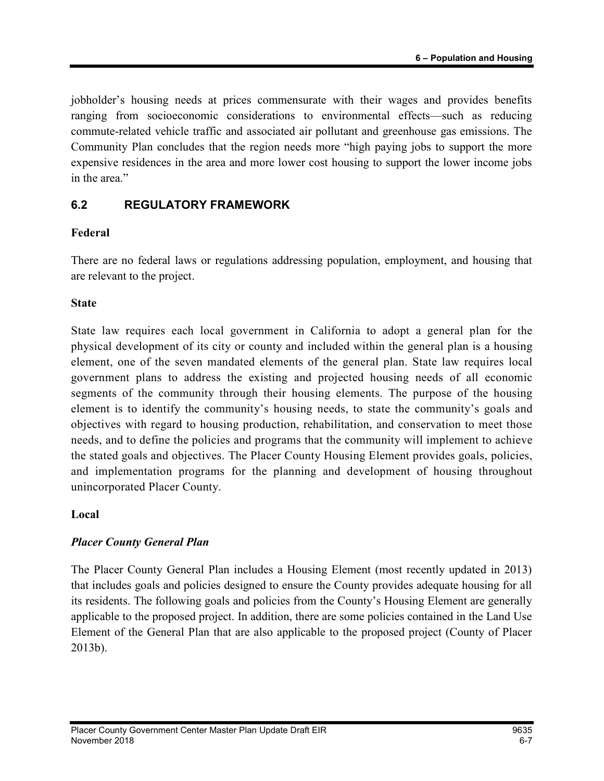jobholder's housing needs at prices commensurate with their wages and provides benefits ranging from socioeconomic considerations to environmental effects—such as reducing commute-related vehicle traffic and associated air pollutant and greenhouse gas emissions. The Community Plan concludes that the region needs more "high paying jobs to support the more expensive residences in the area and more lower cost housing to support the lower income jobs in the area."

# 6.2 REGULATORY FRAMEWORK

### Federal

There are no federal laws or regulations addressing population, employment, and housing that are relevant to the project.

#### **State**

State law requires each local government in California to adopt a general plan for the physical development of its city or county and included within the general plan is a housing element, one of the seven mandated elements of the general plan. State law requires local government plans to address the existing and projected housing needs of all economic segments of the community through their housing elements. The purpose of the housing element is to identify the community's housing needs, to state the community's goals and objectives with regard to housing production, rehabilitation, and conservation to meet those needs, and to define the policies and programs that the community will implement to achieve the stated goals and objectives. The Placer County Housing Element provides goals, policies, and implementation programs for the planning and development of housing throughout unincorporated Placer County.

#### Local

### Placer County General Plan

The Placer County General Plan includes a Housing Element (most recently updated in 2013) that includes goals and policies designed to ensure the County provides adequate housing for all its residents. The following goals and policies from the County's Housing Element are generally applicable to the proposed project. In addition, there are some policies contained in the Land Use Element of the General Plan that are also applicable to the proposed project (County of Placer 2013b).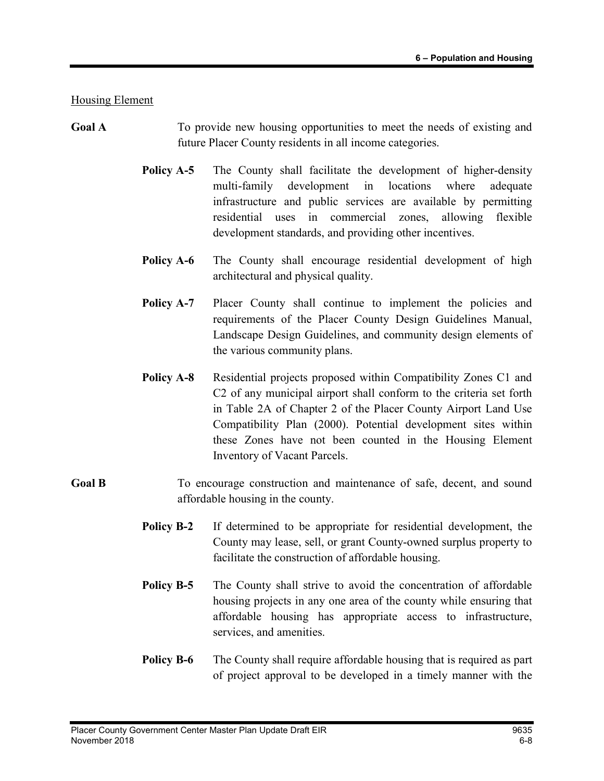Housing Element

- Goal A To provide new housing opportunities to meet the needs of existing and future Placer County residents in all income categories.
	- **Policy A-5** The County shall facilitate the development of higher-density multi-family development in locations where adequate infrastructure and public services are available by permitting residential uses in commercial zones, allowing flexible development standards, and providing other incentives.
	- **Policy A-6** The County shall encourage residential development of high architectural and physical quality.
	- Policy A-7 Placer County shall continue to implement the policies and requirements of the Placer County Design Guidelines Manual, Landscape Design Guidelines, and community design elements of the various community plans.
	- **Policy A-8** Residential projects proposed within Compatibility Zones C1 and C2 of any municipal airport shall conform to the criteria set forth in Table 2A of Chapter 2 of the Placer County Airport Land Use Compatibility Plan (2000). Potential development sites within these Zones have not been counted in the Housing Element Inventory of Vacant Parcels.
- Goal B To encourage construction and maintenance of safe, decent, and sound affordable housing in the county.
	- Policy B-2 If determined to be appropriate for residential development, the County may lease, sell, or grant County-owned surplus property to facilitate the construction of affordable housing.
	- **Policy B-5** The County shall strive to avoid the concentration of affordable housing projects in any one area of the county while ensuring that affordable housing has appropriate access to infrastructure, services, and amenities.
	- **Policy B-6** The County shall require affordable housing that is required as part of project approval to be developed in a timely manner with the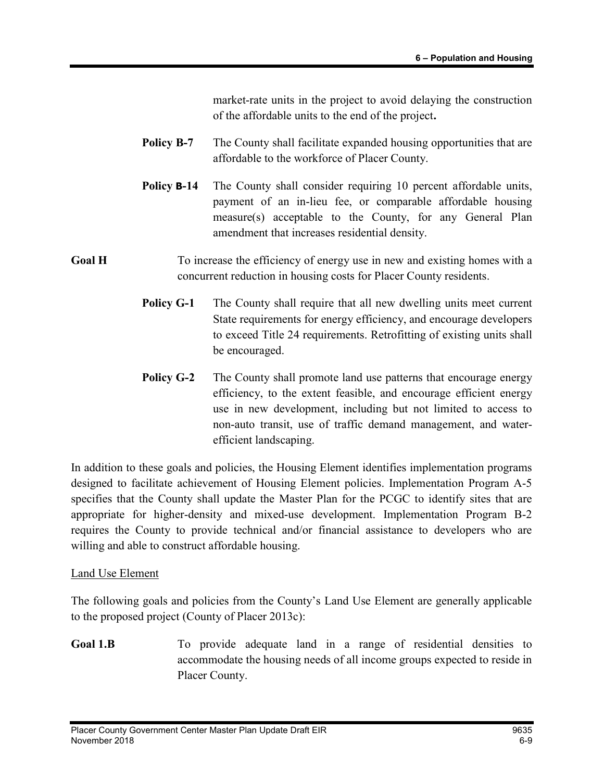market-rate units in the project to avoid delaying the construction of the affordable units to the end of the project.

- Policy B-7 The County shall facilitate expanded housing opportunities that are affordable to the workforce of Placer County.
- Policy **B-14** The County shall consider requiring 10 percent affordable units, payment of an in-lieu fee, or comparable affordable housing measure(s) acceptable to the County, for any General Plan amendment that increases residential density.

### Goal H To increase the efficiency of energy use in new and existing homes with a concurrent reduction in housing costs for Placer County residents.

- **Policy G-1** The County shall require that all new dwelling units meet current State requirements for energy efficiency, and encourage developers to exceed Title 24 requirements. Retrofitting of existing units shall be encouraged.
- **Policy G-2** The County shall promote land use patterns that encourage energy efficiency, to the extent feasible, and encourage efficient energy use in new development, including but not limited to access to non-auto transit, use of traffic demand management, and waterefficient landscaping.

In addition to these goals and policies, the Housing Element identifies implementation programs designed to facilitate achievement of Housing Element policies. Implementation Program A-5 specifies that the County shall update the Master Plan for the PCGC to identify sites that are appropriate for higher-density and mixed-use development. Implementation Program B-2 requires the County to provide technical and/or financial assistance to developers who are willing and able to construct affordable housing.

#### Land Use Element

The following goals and policies from the County's Land Use Element are generally applicable to the proposed project (County of Placer 2013c):

Goal 1.B To provide adequate land in a range of residential densities to accommodate the housing needs of all income groups expected to reside in Placer County.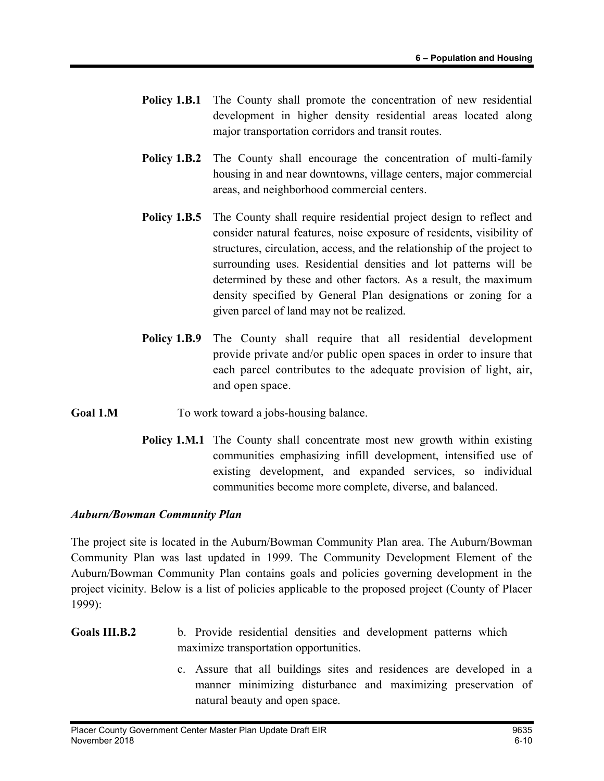- **Policy 1.B.1** The County shall promote the concentration of new residential development in higher density residential areas located along major transportation corridors and transit routes.
- **Policy 1.B.2** The County shall encourage the concentration of multi-family housing in and near downtowns, village centers, major commercial areas, and neighborhood commercial centers.
- Policy 1.B.5 The County shall require residential project design to reflect and consider natural features, noise exposure of residents, visibility of structures, circulation, access, and the relationship of the project to surrounding uses. Residential densities and lot patterns will be determined by these and other factors. As a result, the maximum density specified by General Plan designations or zoning for a given parcel of land may not be realized.
- Policy 1.B.9 The County shall require that all residential development provide private and/or public open spaces in order to insure that each parcel contributes to the adequate provision of light, air, and open space.
- Goal 1.M To work toward a jobs-housing balance.
	- Policy 1.M.1 The County shall concentrate most new growth within existing communities emphasizing infill development, intensified use of existing development, and expanded services, so individual communities become more complete, diverse, and balanced.

#### Auburn/Bowman Community Plan

The project site is located in the Auburn/Bowman Community Plan area. The Auburn/Bowman Community Plan was last updated in 1999. The Community Development Element of the Auburn/Bowman Community Plan contains goals and policies governing development in the project vicinity. Below is a list of policies applicable to the proposed project (County of Placer 1999):

- Goals III.B.2 b. Provide residential densities and development patterns which maximize transportation opportunities.
	- c. Assure that all buildings sites and residences are developed in a manner minimizing disturbance and maximizing preservation of natural beauty and open space.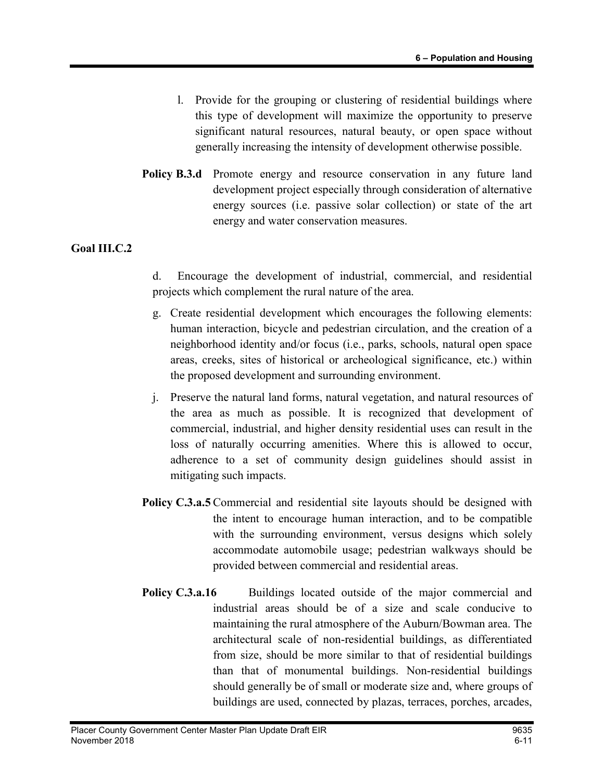- l. Provide for the grouping or clustering of residential buildings where this type of development will maximize the opportunity to preserve significant natural resources, natural beauty, or open space without generally increasing the intensity of development otherwise possible.
- Policy B.3.d Promote energy and resource conservation in any future land development project especially through consideration of alternative energy sources (i.e. passive solar collection) or state of the art energy and water conservation measures.

#### Goal III.C.2

- d. Encourage the development of industrial, commercial, and residential projects which complement the rural nature of the area.
- g. Create residential development which encourages the following elements: human interaction, bicycle and pedestrian circulation, and the creation of a neighborhood identity and/or focus (i.e., parks, schools, natural open space areas, creeks, sites of historical or archeological significance, etc.) within the proposed development and surrounding environment.
- j. Preserve the natural land forms, natural vegetation, and natural resources of the area as much as possible. It is recognized that development of commercial, industrial, and higher density residential uses can result in the loss of naturally occurring amenities. Where this is allowed to occur, adherence to a set of community design guidelines should assist in mitigating such impacts.
- Policy C.3.a.5 Commercial and residential site layouts should be designed with the intent to encourage human interaction, and to be compatible with the surrounding environment, versus designs which solely accommodate automobile usage; pedestrian walkways should be provided between commercial and residential areas.
- Policy C.3.a.16 Buildings located outside of the major commercial and industrial areas should be of a size and scale conducive to maintaining the rural atmosphere of the Auburn/Bowman area. The architectural scale of non-residential buildings, as differentiated from size, should be more similar to that of residential buildings than that of monumental buildings. Non-residential buildings should generally be of small or moderate size and, where groups of buildings are used, connected by plazas, terraces, porches, arcades,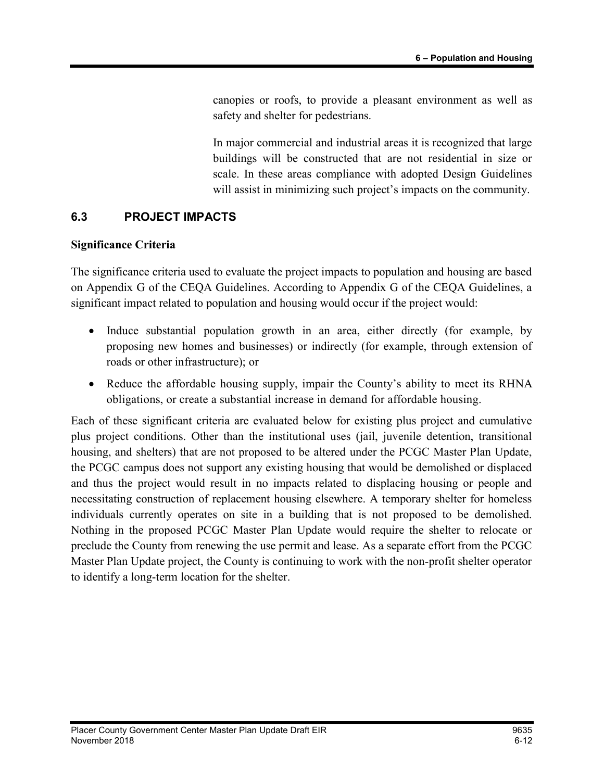canopies or roofs, to provide a pleasant environment as well as safety and shelter for pedestrians.

 In major commercial and industrial areas it is recognized that large buildings will be constructed that are not residential in size or scale. In these areas compliance with adopted Design Guidelines will assist in minimizing such project's impacts on the community.

#### 6.3 PROJECT IMPACTS

#### Significance Criteria

The significance criteria used to evaluate the project impacts to population and housing are based on Appendix G of the CEQA Guidelines. According to Appendix G of the CEQA Guidelines, a significant impact related to population and housing would occur if the project would:

- Induce substantial population growth in an area, either directly (for example, by proposing new homes and businesses) or indirectly (for example, through extension of roads or other infrastructure); or
- Reduce the affordable housing supply, impair the County's ability to meet its RHNA obligations, or create a substantial increase in demand for affordable housing.

Each of these significant criteria are evaluated below for existing plus project and cumulative plus project conditions. Other than the institutional uses (jail, juvenile detention, transitional housing, and shelters) that are not proposed to be altered under the PCGC Master Plan Update, the PCGC campus does not support any existing housing that would be demolished or displaced and thus the project would result in no impacts related to displacing housing or people and necessitating construction of replacement housing elsewhere. A temporary shelter for homeless individuals currently operates on site in a building that is not proposed to be demolished. Nothing in the proposed PCGC Master Plan Update would require the shelter to relocate or preclude the County from renewing the use permit and lease. As a separate effort from the PCGC Master Plan Update project, the County is continuing to work with the non-profit shelter operator to identify a long-term location for the shelter.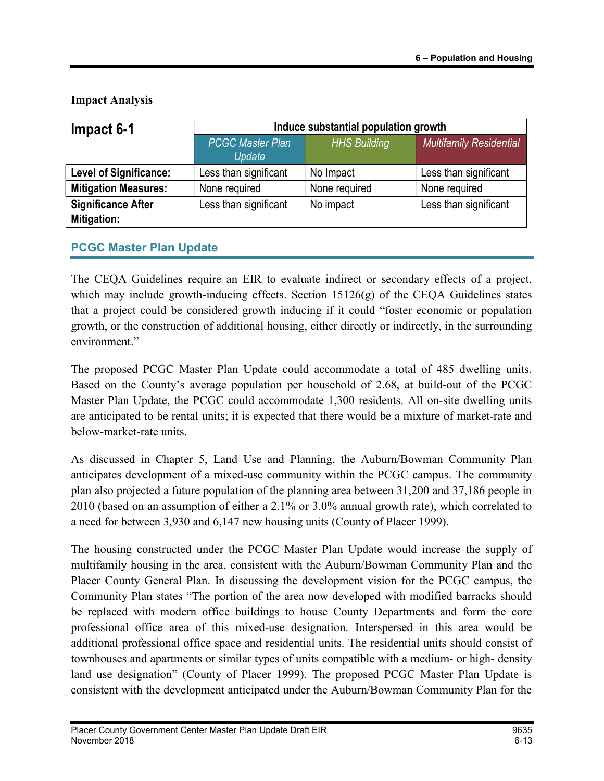Impact Analysis

| Impact 6-1                    | Induce substantial population growth |                     |                                |  |  |
|-------------------------------|--------------------------------------|---------------------|--------------------------------|--|--|
|                               | <b>PCGC Master Plan</b><br>Update    | <b>HHS Building</b> | <b>Multifamily Residential</b> |  |  |
| <b>Level of Significance:</b> | Less than significant                | No Impact           | Less than significant          |  |  |
| <b>Mitigation Measures:</b>   | None required                        | None required       | None required                  |  |  |
| <b>Significance After</b>     | Less than significant                | No impact           | Less than significant          |  |  |
| Mitigation:                   |                                      |                     |                                |  |  |

# PCGC Master Plan Update

The CEQA Guidelines require an EIR to evaluate indirect or secondary effects of a project, which may include growth-inducing effects. Section  $15126(g)$  of the CEQA Guidelines states that a project could be considered growth inducing if it could "foster economic or population growth, or the construction of additional housing, either directly or indirectly, in the surrounding environment."

The proposed PCGC Master Plan Update could accommodate a total of 485 dwelling units. Based on the County's average population per household of 2.68, at build-out of the PCGC Master Plan Update, the PCGC could accommodate 1,300 residents. All on-site dwelling units are anticipated to be rental units; it is expected that there would be a mixture of market-rate and below-market-rate units.

As discussed in Chapter 5, Land Use and Planning, the Auburn/Bowman Community Plan anticipates development of a mixed-use community within the PCGC campus. The community plan also projected a future population of the planning area between 31,200 and 37,186 people in 2010 (based on an assumption of either a 2.1% or 3.0% annual growth rate), which correlated to a need for between 3,930 and 6,147 new housing units (County of Placer 1999).

The housing constructed under the PCGC Master Plan Update would increase the supply of multifamily housing in the area, consistent with the Auburn/Bowman Community Plan and the Placer County General Plan. In discussing the development vision for the PCGC campus, the Community Plan states "The portion of the area now developed with modified barracks should be replaced with modern office buildings to house County Departments and form the core professional office area of this mixed-use designation. Interspersed in this area would be additional professional office space and residential units. The residential units should consist of townhouses and apartments or similar types of units compatible with a medium- or high- density land use designation" (County of Placer 1999). The proposed PCGC Master Plan Update is consistent with the development anticipated under the Auburn/Bowman Community Plan for the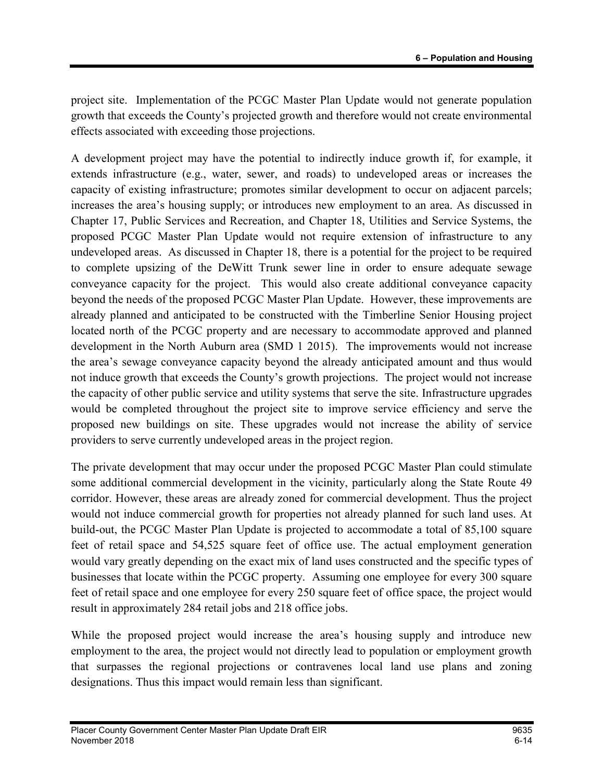project site. Implementation of the PCGC Master Plan Update would not generate population growth that exceeds the County's projected growth and therefore would not create environmental effects associated with exceeding those projections.

A development project may have the potential to indirectly induce growth if, for example, it extends infrastructure (e.g., water, sewer, and roads) to undeveloped areas or increases the capacity of existing infrastructure; promotes similar development to occur on adjacent parcels; increases the area's housing supply; or introduces new employment to an area. As discussed in Chapter 17, Public Services and Recreation, and Chapter 18, Utilities and Service Systems, the proposed PCGC Master Plan Update would not require extension of infrastructure to any undeveloped areas. As discussed in Chapter 18, there is a potential for the project to be required to complete upsizing of the DeWitt Trunk sewer line in order to ensure adequate sewage conveyance capacity for the project. This would also create additional conveyance capacity beyond the needs of the proposed PCGC Master Plan Update. However, these improvements are already planned and anticipated to be constructed with the Timberline Senior Housing project located north of the PCGC property and are necessary to accommodate approved and planned development in the North Auburn area (SMD 1 2015). The improvements would not increase the area's sewage conveyance capacity beyond the already anticipated amount and thus would not induce growth that exceeds the County's growth projections. The project would not increase the capacity of other public service and utility systems that serve the site. Infrastructure upgrades would be completed throughout the project site to improve service efficiency and serve the proposed new buildings on site. These upgrades would not increase the ability of service providers to serve currently undeveloped areas in the project region.

The private development that may occur under the proposed PCGC Master Plan could stimulate some additional commercial development in the vicinity, particularly along the State Route 49 corridor. However, these areas are already zoned for commercial development. Thus the project would not induce commercial growth for properties not already planned for such land uses. At build-out, the PCGC Master Plan Update is projected to accommodate a total of 85,100 square feet of retail space and 54,525 square feet of office use. The actual employment generation would vary greatly depending on the exact mix of land uses constructed and the specific types of businesses that locate within the PCGC property. Assuming one employee for every 300 square feet of retail space and one employee for every 250 square feet of office space, the project would result in approximately 284 retail jobs and 218 office jobs.

While the proposed project would increase the area's housing supply and introduce new employment to the area, the project would not directly lead to population or employment growth that surpasses the regional projections or contravenes local land use plans and zoning designations. Thus this impact would remain less than significant.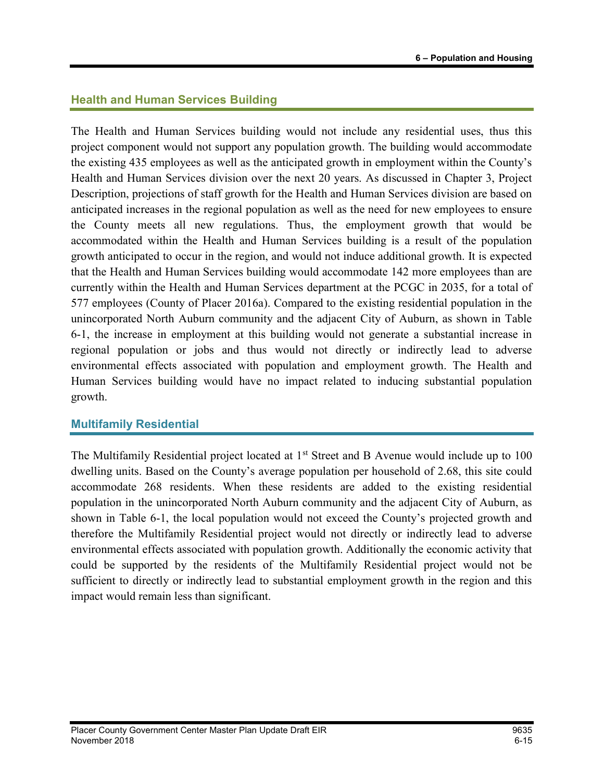### Health and Human Services Building

The Health and Human Services building would not include any residential uses, thus this project component would not support any population growth. The building would accommodate the existing 435 employees as well as the anticipated growth in employment within the County's Health and Human Services division over the next 20 years. As discussed in Chapter 3, Project Description, projections of staff growth for the Health and Human Services division are based on anticipated increases in the regional population as well as the need for new employees to ensure the County meets all new regulations. Thus, the employment growth that would be accommodated within the Health and Human Services building is a result of the population growth anticipated to occur in the region, and would not induce additional growth. It is expected that the Health and Human Services building would accommodate 142 more employees than are currently within the Health and Human Services department at the PCGC in 2035, for a total of 577 employees (County of Placer 2016a). Compared to the existing residential population in the unincorporated North Auburn community and the adjacent City of Auburn, as shown in Table 6-1, the increase in employment at this building would not generate a substantial increase in regional population or jobs and thus would not directly or indirectly lead to adverse environmental effects associated with population and employment growth. The Health and Human Services building would have no impact related to inducing substantial population growth.

### Multifamily Residential

The Multifamily Residential project located at 1<sup>st</sup> Street and B Avenue would include up to 100 dwelling units. Based on the County's average population per household of 2.68, this site could accommodate 268 residents. When these residents are added to the existing residential population in the unincorporated North Auburn community and the adjacent City of Auburn, as shown in Table 6-1, the local population would not exceed the County's projected growth and therefore the Multifamily Residential project would not directly or indirectly lead to adverse environmental effects associated with population growth. Additionally the economic activity that could be supported by the residents of the Multifamily Residential project would not be sufficient to directly or indirectly lead to substantial employment growth in the region and this impact would remain less than significant.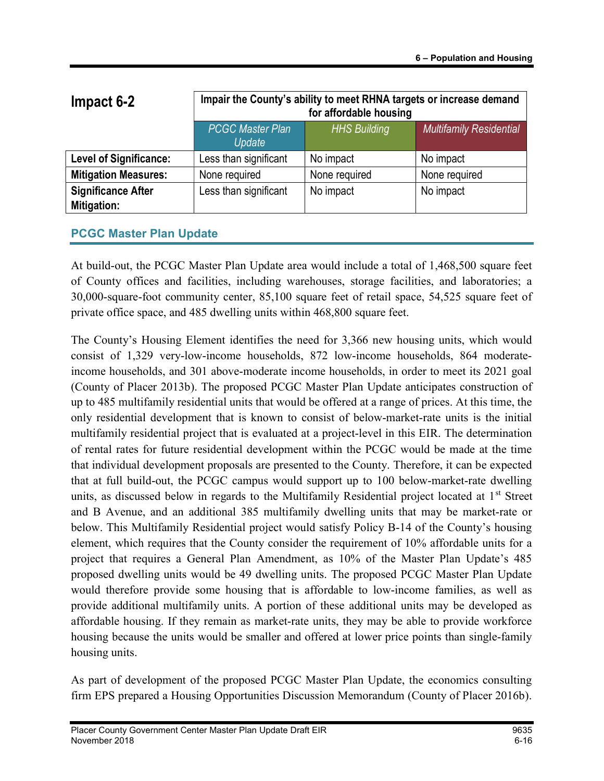| Impact 6-2                               | Impair the County's ability to meet RHNA targets or increase demand<br>for affordable housing |               |               |  |  |  |
|------------------------------------------|-----------------------------------------------------------------------------------------------|---------------|---------------|--|--|--|
|                                          | <b>HHS Building</b><br><b>PCGC Master Plan</b><br><b>Multifamily Residential</b><br>Update    |               |               |  |  |  |
| <b>Level of Significance:</b>            | Less than significant                                                                         | No impact     | No impact     |  |  |  |
| <b>Mitigation Measures:</b>              | None required                                                                                 | None required | None required |  |  |  |
| <b>Significance After</b><br>Mitigation: | Less than significant<br>No impact<br>No impact                                               |               |               |  |  |  |

### PCGC Master Plan Update

At build-out, the PCGC Master Plan Update area would include a total of 1,468,500 square feet of County offices and facilities, including warehouses, storage facilities, and laboratories; a 30,000-square-foot community center, 85,100 square feet of retail space, 54,525 square feet of private office space, and 485 dwelling units within 468,800 square feet.

The County's Housing Element identifies the need for 3,366 new housing units, which would consist of 1,329 very-low-income households, 872 low-income households, 864 moderateincome households, and 301 above-moderate income households, in order to meet its 2021 goal (County of Placer 2013b). The proposed PCGC Master Plan Update anticipates construction of up to 485 multifamily residential units that would be offered at a range of prices. At this time, the only residential development that is known to consist of below-market-rate units is the initial multifamily residential project that is evaluated at a project-level in this EIR. The determination of rental rates for future residential development within the PCGC would be made at the time that individual development proposals are presented to the County. Therefore, it can be expected that at full build-out, the PCGC campus would support up to 100 below-market-rate dwelling units, as discussed below in regards to the Multifamily Residential project located at  $1<sup>st</sup>$  Street and B Avenue, and an additional 385 multifamily dwelling units that may be market-rate or below. This Multifamily Residential project would satisfy Policy B-14 of the County's housing element, which requires that the County consider the requirement of 10% affordable units for a project that requires a General Plan Amendment, as 10% of the Master Plan Update's 485 proposed dwelling units would be 49 dwelling units. The proposed PCGC Master Plan Update would therefore provide some housing that is affordable to low-income families, as well as provide additional multifamily units. A portion of these additional units may be developed as affordable housing. If they remain as market-rate units, they may be able to provide workforce housing because the units would be smaller and offered at lower price points than single-family housing units.

As part of development of the proposed PCGC Master Plan Update, the economics consulting firm EPS prepared a Housing Opportunities Discussion Memorandum (County of Placer 2016b).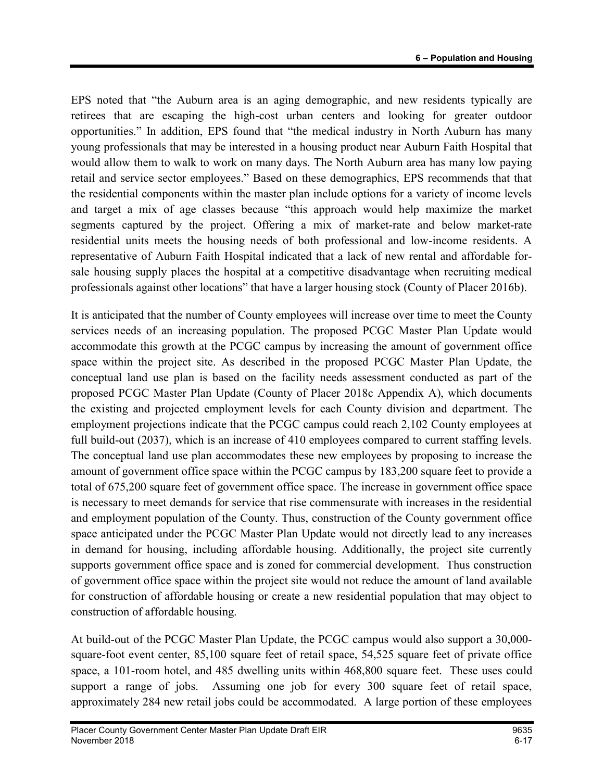EPS noted that "the Auburn area is an aging demographic, and new residents typically are retirees that are escaping the high-cost urban centers and looking for greater outdoor opportunities." In addition, EPS found that "the medical industry in North Auburn has many young professionals that may be interested in a housing product near Auburn Faith Hospital that would allow them to walk to work on many days. The North Auburn area has many low paying retail and service sector employees." Based on these demographics, EPS recommends that that the residential components within the master plan include options for a variety of income levels and target a mix of age classes because "this approach would help maximize the market segments captured by the project. Offering a mix of market-rate and below market-rate residential units meets the housing needs of both professional and low-income residents. A representative of Auburn Faith Hospital indicated that a lack of new rental and affordable forsale housing supply places the hospital at a competitive disadvantage when recruiting medical professionals against other locations" that have a larger housing stock (County of Placer 2016b).

It is anticipated that the number of County employees will increase over time to meet the County services needs of an increasing population. The proposed PCGC Master Plan Update would accommodate this growth at the PCGC campus by increasing the amount of government office space within the project site. As described in the proposed PCGC Master Plan Update, the conceptual land use plan is based on the facility needs assessment conducted as part of the proposed PCGC Master Plan Update (County of Placer 2018c Appendix A), which documents the existing and projected employment levels for each County division and department. The employment projections indicate that the PCGC campus could reach 2,102 County employees at full build-out (2037), which is an increase of 410 employees compared to current staffing levels. The conceptual land use plan accommodates these new employees by proposing to increase the amount of government office space within the PCGC campus by 183,200 square feet to provide a total of 675,200 square feet of government office space. The increase in government office space is necessary to meet demands for service that rise commensurate with increases in the residential and employment population of the County. Thus, construction of the County government office space anticipated under the PCGC Master Plan Update would not directly lead to any increases in demand for housing, including affordable housing. Additionally, the project site currently supports government office space and is zoned for commercial development. Thus construction of government office space within the project site would not reduce the amount of land available for construction of affordable housing or create a new residential population that may object to construction of affordable housing.

At build-out of the PCGC Master Plan Update, the PCGC campus would also support a 30,000 square-foot event center, 85,100 square feet of retail space, 54,525 square feet of private office space, a 101-room hotel, and 485 dwelling units within 468,800 square feet. These uses could support a range of jobs. Assuming one job for every 300 square feet of retail space, approximately 284 new retail jobs could be accommodated. A large portion of these employees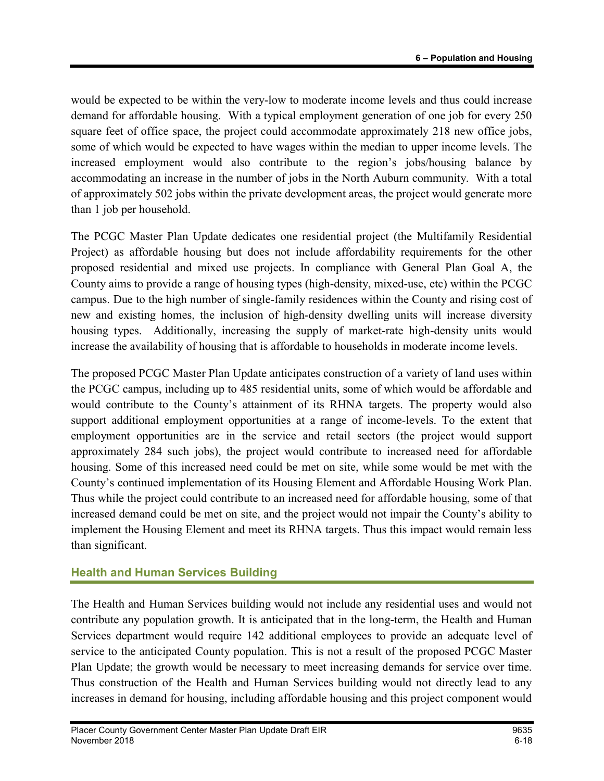would be expected to be within the very-low to moderate income levels and thus could increase demand for affordable housing. With a typical employment generation of one job for every 250 square feet of office space, the project could accommodate approximately 218 new office jobs, some of which would be expected to have wages within the median to upper income levels. The increased employment would also contribute to the region's jobs/housing balance by accommodating an increase in the number of jobs in the North Auburn community. With a total of approximately 502 jobs within the private development areas, the project would generate more than 1 job per household.

The PCGC Master Plan Update dedicates one residential project (the Multifamily Residential Project) as affordable housing but does not include affordability requirements for the other proposed residential and mixed use projects. In compliance with General Plan Goal A, the County aims to provide a range of housing types (high-density, mixed-use, etc) within the PCGC campus. Due to the high number of single-family residences within the County and rising cost of new and existing homes, the inclusion of high-density dwelling units will increase diversity housing types. Additionally, increasing the supply of market-rate high-density units would increase the availability of housing that is affordable to households in moderate income levels.

The proposed PCGC Master Plan Update anticipates construction of a variety of land uses within the PCGC campus, including up to 485 residential units, some of which would be affordable and would contribute to the County's attainment of its RHNA targets. The property would also support additional employment opportunities at a range of income-levels. To the extent that employment opportunities are in the service and retail sectors (the project would support approximately 284 such jobs), the project would contribute to increased need for affordable housing. Some of this increased need could be met on site, while some would be met with the County's continued implementation of its Housing Element and Affordable Housing Work Plan. Thus while the project could contribute to an increased need for affordable housing, some of that increased demand could be met on site, and the project would not impair the County's ability to implement the Housing Element and meet its RHNA targets. Thus this impact would remain less than significant.

# Health and Human Services Building

The Health and Human Services building would not include any residential uses and would not contribute any population growth. It is anticipated that in the long-term, the Health and Human Services department would require 142 additional employees to provide an adequate level of service to the anticipated County population. This is not a result of the proposed PCGC Master Plan Update; the growth would be necessary to meet increasing demands for service over time. Thus construction of the Health and Human Services building would not directly lead to any increases in demand for housing, including affordable housing and this project component would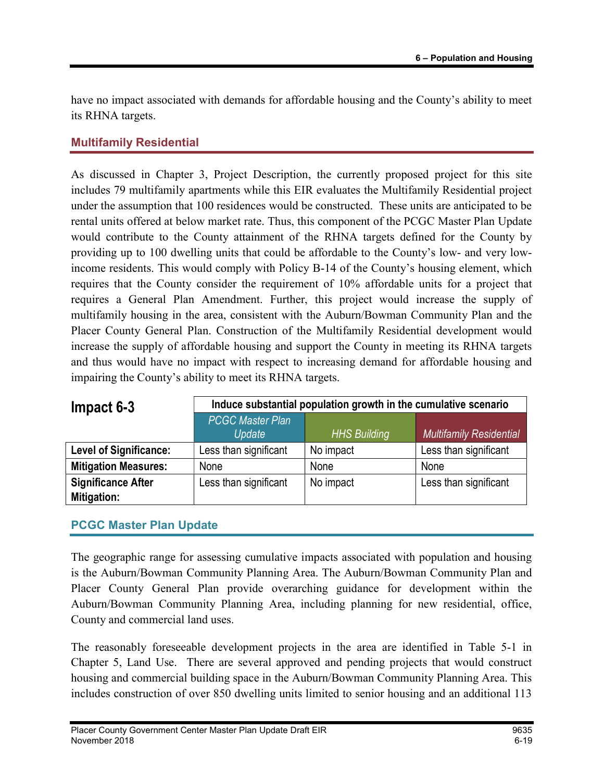have no impact associated with demands for affordable housing and the County's ability to meet its RHNA targets.

## Multifamily Residential

As discussed in Chapter 3, Project Description, the currently proposed project for this site includes 79 multifamily apartments while this EIR evaluates the Multifamily Residential project under the assumption that 100 residences would be constructed. These units are anticipated to be rental units offered at below market rate. Thus, this component of the PCGC Master Plan Update would contribute to the County attainment of the RHNA targets defined for the County by providing up to 100 dwelling units that could be affordable to the County's low- and very lowincome residents. This would comply with Policy B-14 of the County's housing element, which requires that the County consider the requirement of 10% affordable units for a project that requires a General Plan Amendment. Further, this project would increase the supply of multifamily housing in the area, consistent with the Auburn/Bowman Community Plan and the Placer County General Plan. Construction of the Multifamily Residential development would increase the supply of affordable housing and support the County in meeting its RHNA targets and thus would have no impact with respect to increasing demand for affordable housing and impairing the County's ability to meet its RHNA targets.

| $Im$ pact 6-3                 | Induce substantial population growth in the cumulative scenario |                     |                                |  |  |
|-------------------------------|-----------------------------------------------------------------|---------------------|--------------------------------|--|--|
|                               | PCGC Master Plan<br>Update                                      | <b>HHS Building</b> | <b>Multifamily Residential</b> |  |  |
| <b>Level of Significance:</b> | Less than significant                                           | No impact           | Less than significant          |  |  |
| <b>Mitigation Measures:</b>   | None                                                            | None                | None                           |  |  |
| <b>Significance After</b>     | Less than significant                                           | No impact           | Less than significant          |  |  |
| <b>Mitigation:</b>            |                                                                 |                     |                                |  |  |

### PCGC Master Plan Update

The geographic range for assessing cumulative impacts associated with population and housing is the Auburn/Bowman Community Planning Area. The Auburn/Bowman Community Plan and Placer County General Plan provide overarching guidance for development within the Auburn/Bowman Community Planning Area, including planning for new residential, office, County and commercial land uses.

The reasonably foreseeable development projects in the area are identified in Table 5-1 in Chapter 5, Land Use. There are several approved and pending projects that would construct housing and commercial building space in the Auburn/Bowman Community Planning Area. This includes construction of over 850 dwelling units limited to senior housing and an additional 113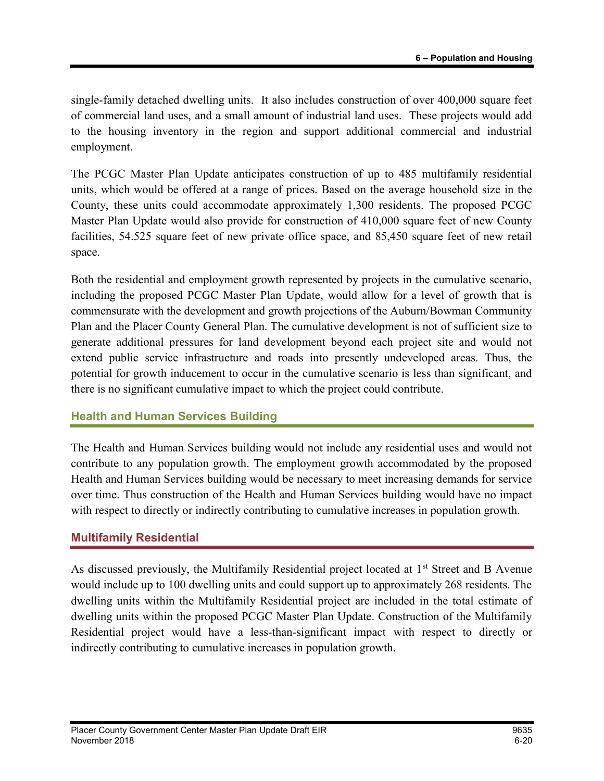single-family detached dwelling units. It also includes construction of over 400,000 square feet of commercial land uses, and a small amount of industrial land uses. These projects would add to the housing inventory in the region and support additional commercial and industrial employment.

The PCGC Master Plan Update anticipates construction of up to 485 multifamily residential units, which would be offered at a range of prices. Based on the average household size in the County, these units could accommodate approximately 1,300 residents. The proposed PCGC Master Plan Update would also provide for construction of 410,000 square feet of new County facilities, 54.525 square feet of new private office space, and 85,450 square feet of new retail space.

Both the residential and employment growth represented by projects in the cumulative scenario, including the proposed PCGC Master Plan Update, would allow for a level of growth that is commensurate with the development and growth projections of the Auburn/Bowman Community Plan and the Placer County General Plan. The cumulative development is not of sufficient size to generate additional pressures for land development beyond each project site and would not extend public service infrastructure and roads into presently undeveloped areas. Thus, the potential for growth inducement to occur in the cumulative scenario is less than significant, and there is no significant cumulative impact to which the project could contribute.

#### Health and Human Services Building

The Health and Human Services building would not include any residential uses and would not contribute to any population growth. The employment growth accommodated by the proposed Health and Human Services building would be necessary to meet increasing demands for service over time. Thus construction of the Health and Human Services building would have no impact with respect to directly or indirectly contributing to cumulative increases in population growth.

#### Multifamily Residential

As discussed previously, the Multifamily Residential project located at 1<sup>st</sup> Street and B Avenue would include up to 100 dwelling units and could support up to approximately 268 residents. The dwelling units within the Multifamily Residential project are included in the total estimate of dwelling units within the proposed PCGC Master Plan Update. Construction of the Multifamily Residential project would have a less-than-significant impact with respect to directly or indirectly contributing to cumulative increases in population growth.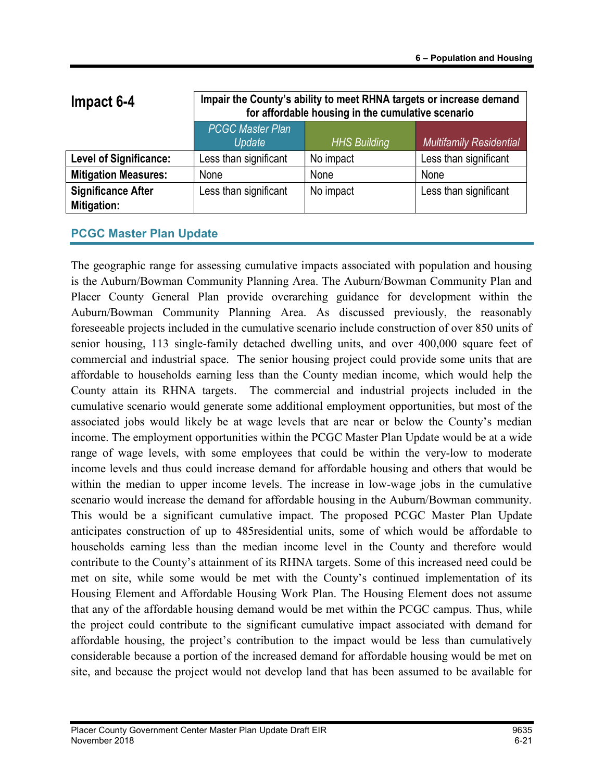| Impact 6-4                               | Impair the County's ability to meet RHNA targets or increase demand<br>for affordable housing in the cumulative scenario |                                |                       |  |  |
|------------------------------------------|--------------------------------------------------------------------------------------------------------------------------|--------------------------------|-----------------------|--|--|
|                                          | <b>PCGC Master Plan</b><br>Update                                                                                        | <b>Multifamily Residential</b> |                       |  |  |
| <b>Level of Significance:</b>            | Less than significant                                                                                                    | No impact                      | Less than significant |  |  |
| <b>Mitigation Measures:</b>              | None                                                                                                                     | None                           | None                  |  |  |
| <b>Significance After</b><br>Mitigation: | Less than significant                                                                                                    | No impact                      | Less than significant |  |  |

### PCGC Master Plan Update

The geographic range for assessing cumulative impacts associated with population and housing is the Auburn/Bowman Community Planning Area. The Auburn/Bowman Community Plan and Placer County General Plan provide overarching guidance for development within the Auburn/Bowman Community Planning Area. As discussed previously, the reasonably foreseeable projects included in the cumulative scenario include construction of over 850 units of senior housing, 113 single-family detached dwelling units, and over 400,000 square feet of commercial and industrial space. The senior housing project could provide some units that are affordable to households earning less than the County median income, which would help the County attain its RHNA targets. The commercial and industrial projects included in the cumulative scenario would generate some additional employment opportunities, but most of the associated jobs would likely be at wage levels that are near or below the County's median income. The employment opportunities within the PCGC Master Plan Update would be at a wide range of wage levels, with some employees that could be within the very-low to moderate income levels and thus could increase demand for affordable housing and others that would be within the median to upper income levels. The increase in low-wage jobs in the cumulative scenario would increase the demand for affordable housing in the Auburn/Bowman community. This would be a significant cumulative impact. The proposed PCGC Master Plan Update anticipates construction of up to 485residential units, some of which would be affordable to households earning less than the median income level in the County and therefore would contribute to the County's attainment of its RHNA targets. Some of this increased need could be met on site, while some would be met with the County's continued implementation of its Housing Element and Affordable Housing Work Plan. The Housing Element does not assume that any of the affordable housing demand would be met within the PCGC campus. Thus, while the project could contribute to the significant cumulative impact associated with demand for affordable housing, the project's contribution to the impact would be less than cumulatively considerable because a portion of the increased demand for affordable housing would be met on site, and because the project would not develop land that has been assumed to be available for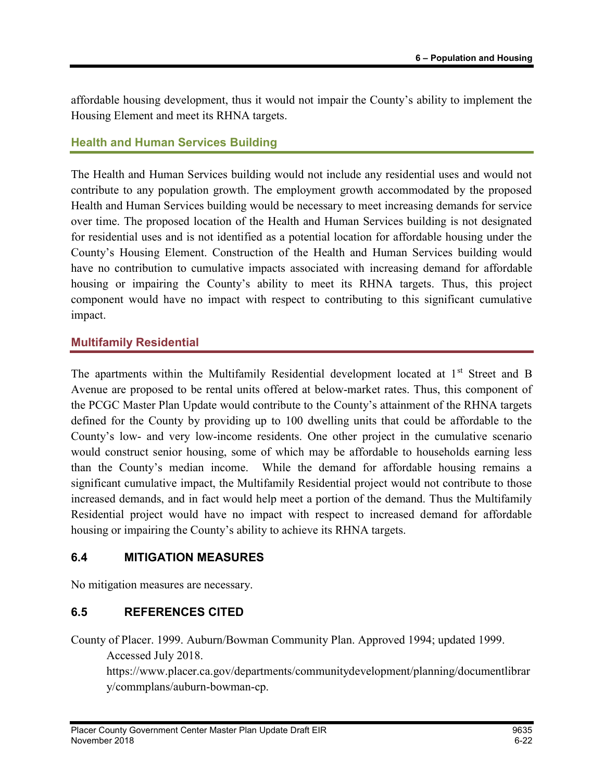affordable housing development, thus it would not impair the County's ability to implement the Housing Element and meet its RHNA targets.

#### Health and Human Services Building

The Health and Human Services building would not include any residential uses and would not contribute to any population growth. The employment growth accommodated by the proposed Health and Human Services building would be necessary to meet increasing demands for service over time. The proposed location of the Health and Human Services building is not designated for residential uses and is not identified as a potential location for affordable housing under the County's Housing Element. Construction of the Health and Human Services building would have no contribution to cumulative impacts associated with increasing demand for affordable housing or impairing the County's ability to meet its RHNA targets. Thus, this project component would have no impact with respect to contributing to this significant cumulative impact.

#### Multifamily Residential

The apartments within the Multifamily Residential development located at 1<sup>st</sup> Street and B Avenue are proposed to be rental units offered at below-market rates. Thus, this component of the PCGC Master Plan Update would contribute to the County's attainment of the RHNA targets defined for the County by providing up to 100 dwelling units that could be affordable to the County's low- and very low-income residents. One other project in the cumulative scenario would construct senior housing, some of which may be affordable to households earning less than the County's median income. While the demand for affordable housing remains a significant cumulative impact, the Multifamily Residential project would not contribute to those increased demands, and in fact would help meet a portion of the demand. Thus the Multifamily Residential project would have no impact with respect to increased demand for affordable housing or impairing the County's ability to achieve its RHNA targets.

### 6.4 MITIGATION MEASURES

No mitigation measures are necessary.

### 6.5 REFERENCES CITED

County of Placer. 1999. Auburn/Bowman Community Plan. Approved 1994; updated 1999.

Accessed July 2018.

https://www.placer.ca.gov/departments/communitydevelopment/planning/documentlibrar y/commplans/auburn-bowman-cp.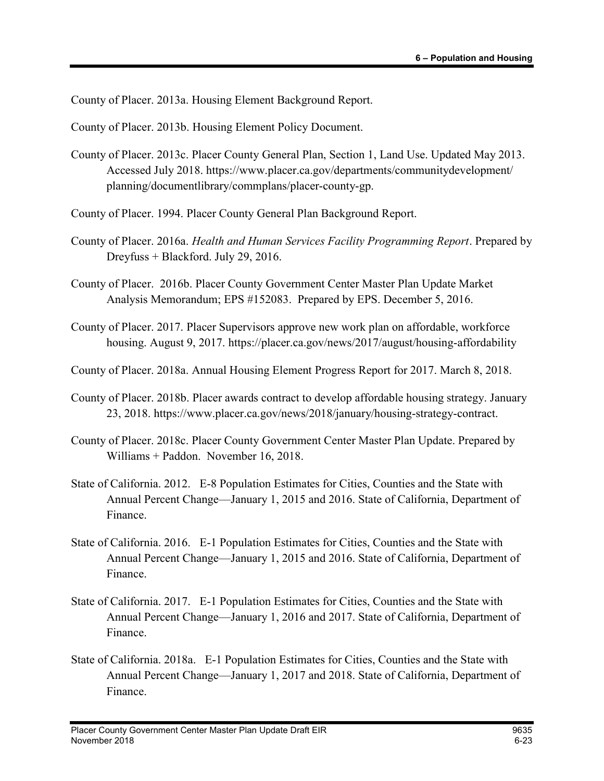County of Placer. 2013a. Housing Element Background Report.

County of Placer. 2013b. Housing Element Policy Document.

- County of Placer. 2013c. Placer County General Plan, Section 1, Land Use. Updated May 2013. Accessed July 2018. https://www.placer.ca.gov/departments/communitydevelopment/ planning/documentlibrary/commplans/placer-county-gp.
- County of Placer. 1994. Placer County General Plan Background Report.
- County of Placer. 2016a. Health and Human Services Facility Programming Report. Prepared by Dreyfuss + Blackford. July 29, 2016.
- County of Placer. 2016b. Placer County Government Center Master Plan Update Market Analysis Memorandum; EPS #152083. Prepared by EPS. December 5, 2016.
- County of Placer. 2017. Placer Supervisors approve new work plan on affordable, workforce housing. August 9, 2017. https://placer.ca.gov/news/2017/august/housing-affordability
- County of Placer. 2018a. Annual Housing Element Progress Report for 2017. March 8, 2018.
- County of Placer. 2018b. Placer awards contract to develop affordable housing strategy. January 23, 2018. https://www.placer.ca.gov/news/2018/january/housing-strategy-contract.
- County of Placer. 2018c. Placer County Government Center Master Plan Update. Prepared by Williams + Paddon. November 16, 2018.
- State of California. 2012. E-8 Population Estimates for Cities, Counties and the State with Annual Percent Change—January 1, 2015 and 2016. State of California, Department of Finance.
- State of California. 2016. E-1 Population Estimates for Cities, Counties and the State with Annual Percent Change—January 1, 2015 and 2016. State of California, Department of Finance.
- State of California. 2017. E-1 Population Estimates for Cities, Counties and the State with Annual Percent Change—January 1, 2016 and 2017. State of California, Department of Finance.
- State of California. 2018a. E-1 Population Estimates for Cities, Counties and the State with Annual Percent Change—January 1, 2017 and 2018. State of California, Department of Finance.